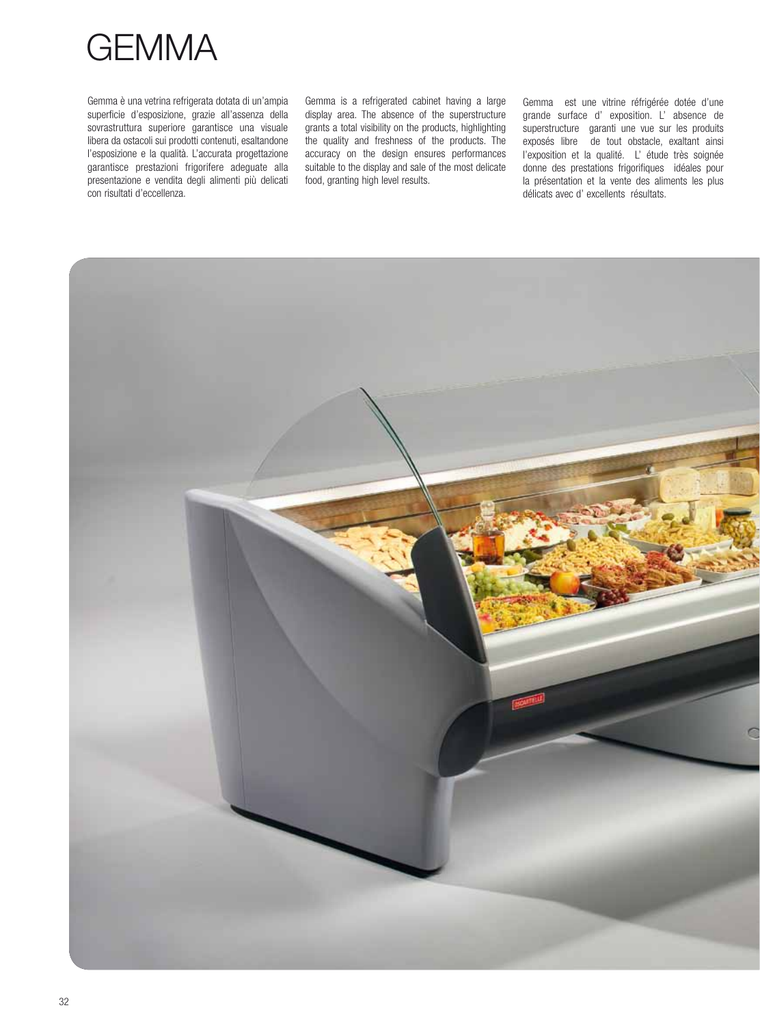

Gemma è una vetrina refrigerata dotata di un'ampia superficie d'esposizione, grazie all'assenza della sovrastruttura superiore garantisce una visuale libera da ostacoli sui prodotti contenuti, esaltandone l'esposizione e la qualità. L'accurata progettazione garantisce prestazioni frigorifere adeguate alla presentazione e vendita degli alimenti più delicati con risultati d'eccellenza.

Gemma is a refrigerated cabinet having a large display area. The absence of the superstructure grants a total visibility on the products, highlighting the quality and freshness of the products. The accuracy on the design ensures performances suitable to the display and sale of the most delicate food, granting high level results.

Gemma est une vitrine réfrigérée dotée d'une grande surface d' exposition. L' absence de superstructure garanti une vue sur les produits exposés libre de tout obstacle, exaltant ainsi l'exposition et la qualité. L' étude très soignée donne des prestations frigorifiques idéales pour la présentation et la vente des aliments les plus délicats avec d' excellents résultats.

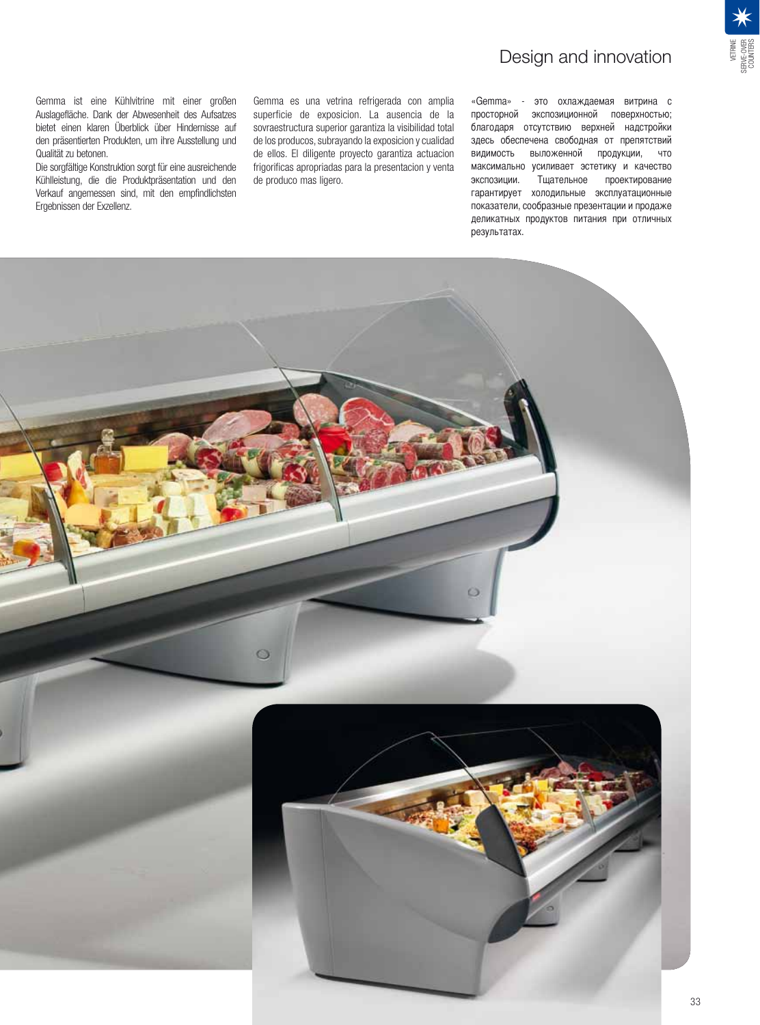

Gemma ist eine Kühlvitrine mit einer großen Auslagefläche. Dank der Abwesenheit des Aufsatzes bietet einen klaren Überblick über Hindernisse auf den präsentierten Produkten, um ihre Ausstellung und Qualität zu betonen.

Die sorgfältige Konstruktion sorgt für eine ausreichende Kühlleistung, die die Produktpräsentation und den Verkauf angemessen sind, mit den empfindlichsten Ergebnissen der Exzellenz.

Gemma es una vetrina refrigerada con amplia superficie de exposicion. La ausencia de la sovraestructura superior garantiza la visibilidad total de los producos, subrayando la exposicion y cualidad de ellos. El diligente proyecto garantiza actuacion frigorificas apropriadas para la presentacion y venta de produco mas ligero.

## «Gemma» - это охлаждаемая витрина с просторной экспозиционной поверхностью; благодаря отсутствию верхней надстройки здесь обеспечена свободная от препятствий видимость выложенной продукции, что максимально усиливает эстетику и качество экспозиции. Тщательное проектирование гарантирует холодильные эксплуатационные показатели, сообразные презентации и продаже деликатных продуктов питания при отличных результатах.

Design and innovation

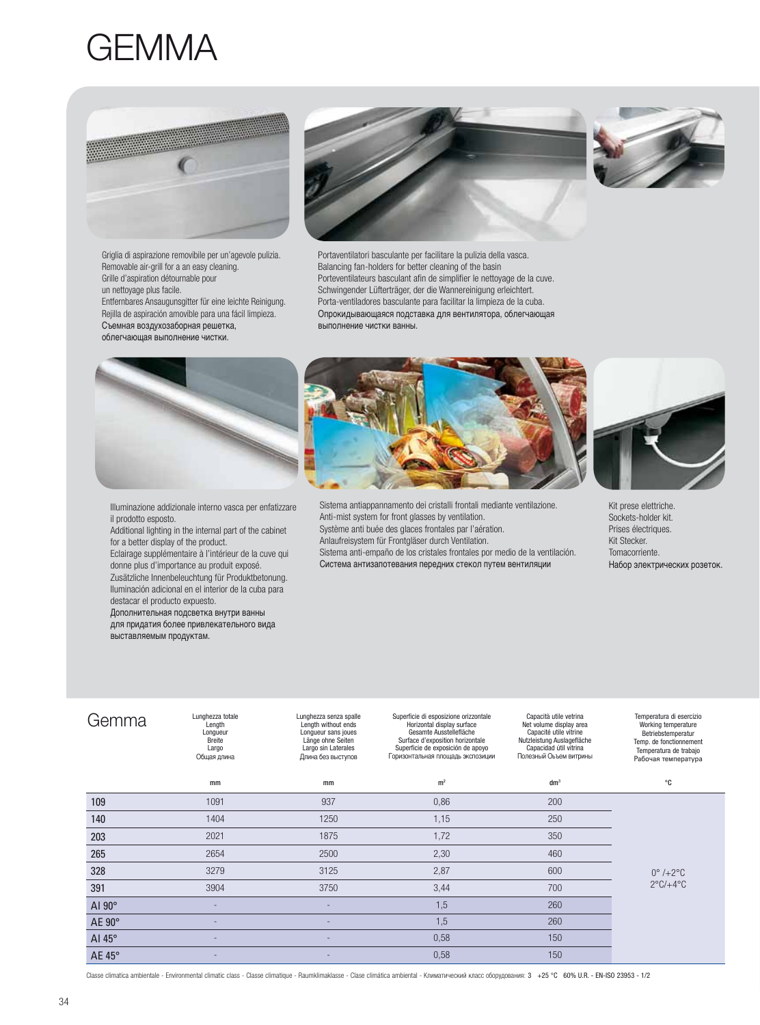## GEMMA



Griglia di aspirazione removibile per un'agevole pulizia. Removable air-grill for a an easy cleaning. Grille d'aspiration détournable pour un nettoyage plus facile. Entfernbares Ansaugunsgitter für eine leichte Reinigung. Rejilla de aspiración amovible para una fácil limpieza. Съемная воздухозаборная решетка, облегчающая выполнение чистки.





Portaventilatori basculante per facilitare la pulizia della vasca. Balancing fan-holders for better cleaning of the basin Porteventilateurs basculant afin de simplifier le nettoyage de la cuve. Schwingender Lüfterträger, der die Wannereinigung erleichtert. Porta-ventiladores basculante para facilitar la limpieza de la cuba. Опрокидывающаяся подставка для вентилятора, облегчающая **ВЫПОЛНЕНИЕ ЧИСТКИ ВАННЫ.** 





Illuminazione addizionale interno vasca per enfatizzare il prodotto esposto.

Additional lighting in the internal part of the cabinet for a better display of the product. Eclairage supplémentaire à l'intérieur de la cuve qui donne plus d'importance au produit exposé.

Zusätzliche Innenbeleuchtung für Produktbetonung. Iluminación adicional en el interior de la cuba para destacar el producto expuesto.

Дополнительная подсветка внутри ванны для придатия более привлекательного вида ...<br>выставляемым продуктам.

Sistema antiappannamento dei cristalli frontali mediante ventilazione. Anti-mist system for front glasses by ventilation. Système anti buée des glaces frontales par l'aération. Anlaufreisystem für Frontgläser durch Ventilation. Sistema anti-empaño de los cristales frontales por medio de la ventilación. Система антизапотевания передних стекол путем вентиляции



Kit prese elettriche. Sockets-holder kit. Prises électriques. Kit Stecker. Tomacorriente. Набор электрических розеток.

| Gemma         | Lunghezza totale<br>Length<br>Longueur<br>Breite<br>Largo<br>Общая длина | Lunghezza senza spalle<br>Length without ends<br>Longueur sans joues<br>Länge ohne Seiten<br>Largo sin Laterales<br>Длина без выступов | Superficie di esposizione orizzontale<br>Horizontal display surface<br>Gesamte Ausstellefläche<br>Surface d'exposition horizontale<br>Superficie de exposición de apoyo<br>Горизонтальная площадь экспозиции | Capacità utile vetrina<br>Net volume display area<br>Capacité utile vitrine<br>Nutzleistung Auslagefläche<br>Capacidad útil vitrina<br>Полезный Оьъем витрины | Temperatura di esercizio<br>Working temperature<br>Betriebstemperatur<br>Temp. de fonctionnement<br>Temperatura de trabajo<br>Рабочая температура |
|---------------|--------------------------------------------------------------------------|----------------------------------------------------------------------------------------------------------------------------------------|--------------------------------------------------------------------------------------------------------------------------------------------------------------------------------------------------------------|---------------------------------------------------------------------------------------------------------------------------------------------------------------|---------------------------------------------------------------------------------------------------------------------------------------------------|
|               | mm                                                                       | mm                                                                                                                                     | m <sup>2</sup>                                                                                                                                                                                               | dm <sup>3</sup>                                                                                                                                               | ℃                                                                                                                                                 |
| 109           | 1091                                                                     | 937                                                                                                                                    | 0,86                                                                                                                                                                                                         | 200                                                                                                                                                           | $0^\circ$ /+2 $^\circ$ C<br>$2^{\circ}$ C/ $+4^{\circ}$ C                                                                                         |
| 140           | 1404                                                                     | 1250                                                                                                                                   | 1,15                                                                                                                                                                                                         | 250                                                                                                                                                           |                                                                                                                                                   |
| 203           | 2021                                                                     | 1875                                                                                                                                   | 1,72                                                                                                                                                                                                         | 350                                                                                                                                                           |                                                                                                                                                   |
| 265           | 2654                                                                     | 2500                                                                                                                                   | 2,30                                                                                                                                                                                                         | 460                                                                                                                                                           |                                                                                                                                                   |
| 328           | 3279                                                                     | 3125                                                                                                                                   | 2,87                                                                                                                                                                                                         | 600                                                                                                                                                           |                                                                                                                                                   |
| 391           | 3904                                                                     | 3750                                                                                                                                   | 3,44                                                                                                                                                                                                         | 700                                                                                                                                                           |                                                                                                                                                   |
| AI $90^\circ$ |                                                                          |                                                                                                                                        | 1,5                                                                                                                                                                                                          | 260                                                                                                                                                           |                                                                                                                                                   |
| AE 90°        |                                                                          |                                                                                                                                        | 1,5                                                                                                                                                                                                          | 260                                                                                                                                                           |                                                                                                                                                   |
| Al $45^\circ$ |                                                                          | ٠                                                                                                                                      | 0,58                                                                                                                                                                                                         | 150                                                                                                                                                           |                                                                                                                                                   |
| AE 45°        |                                                                          |                                                                                                                                        | 0,58                                                                                                                                                                                                         | 150                                                                                                                                                           |                                                                                                                                                   |

Classe climatica ambientale - Environmental climatic class - Classe climatique - Raumklimaklasse - Clase climática ambiental - Климатический класс оборудования: 3 +25 °C 60% U.R. - EN-ISO 23953 - 1/2